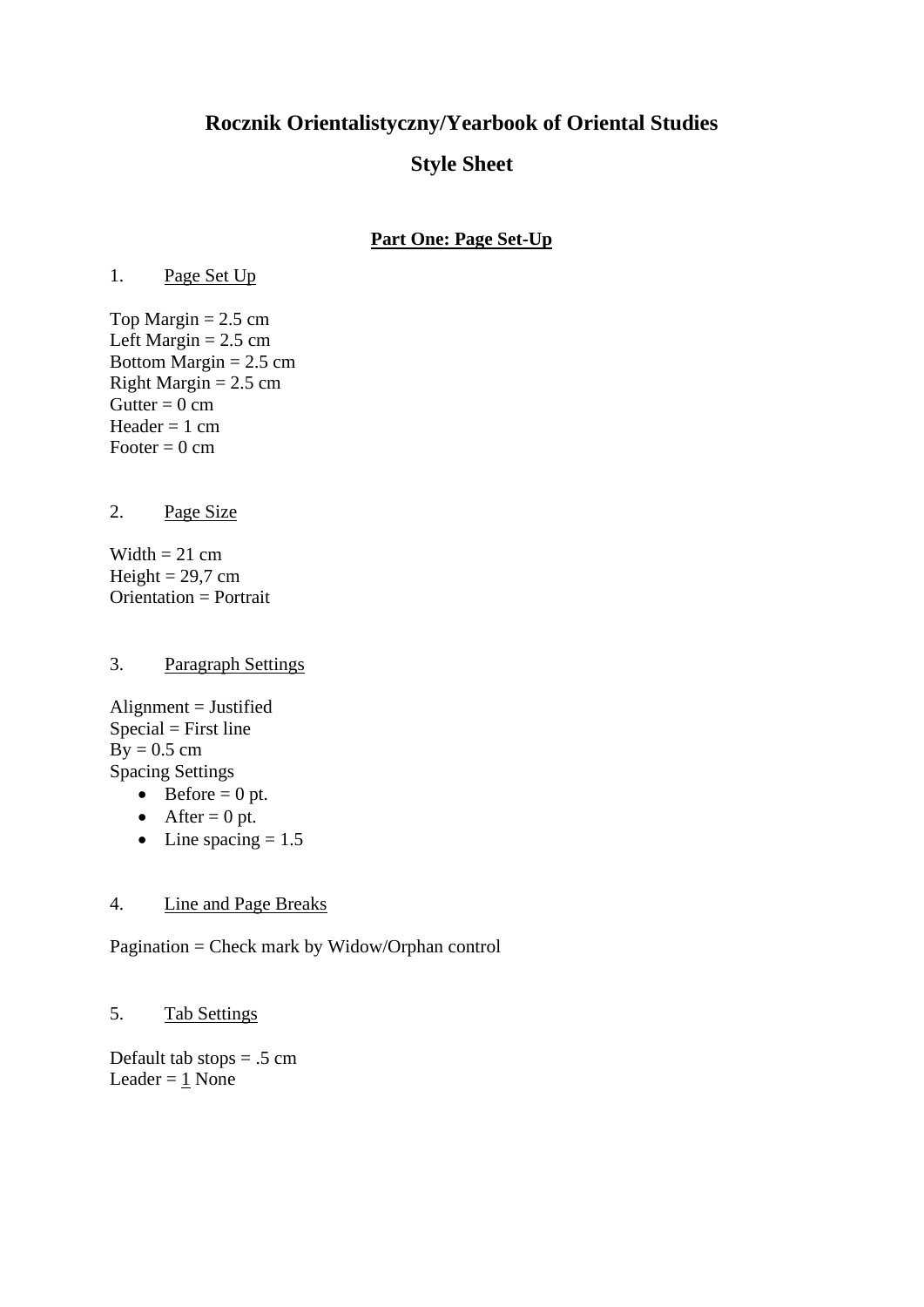# **Rocznik Orientalistyczny/Yearbook of Oriental Studies**

# **Style Sheet**

# **Part One: Page Set-Up**

1. Page Set Up

Top Margin  $= 2.5$  cm Left Margin  $= 2.5$  cm Bottom Margin  $= 2.5$  cm Right Margin  $= 2.5$  cm Gutter =  $0 \text{ cm}$ Header  $= 1$  cm Footer  $= 0$  cm

2. Page Size

Width  $= 21$  cm Height =  $29.7 \text{ cm}$ Orientation = Portrait

#### 3. Paragraph Settings

 $\text{Alignment} = \text{Justified}$  $Special = First line$  $By = 0.5$  cm Spacing Settings

- Before  $= 0$  pt.
- After  $= 0$  pt.
- Line spacing  $= 1.5$

#### 4. Line and Page Breaks

Pagination = Check mark by Widow/Orphan control

# 5. Tab Settings

Default tab stops  $= .5$  cm Leader  $= 1$  None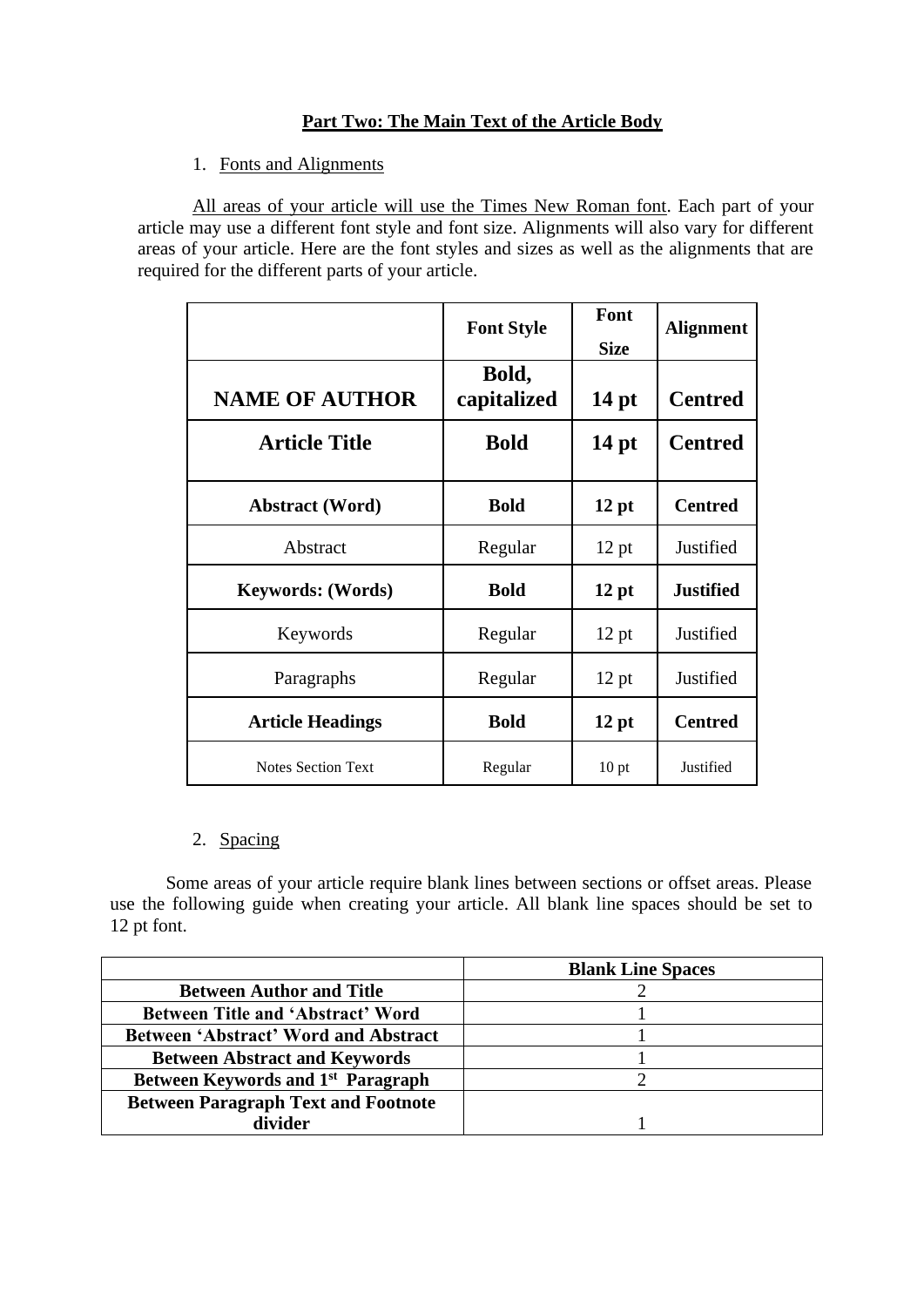# **Part Two: The Main Text of the Article Body**

1. Fonts and Alignments

All areas of your article will use the Times New Roman font. Each part of your article may use a different font style and font size. Alignments will also vary for different areas of your article. Here are the font styles and sizes as well as the alignments that are required for the different parts of your article.

|                           | <b>Font Style</b>    | Font<br><b>Size</b> | <b>Alignment</b> |
|---------------------------|----------------------|---------------------|------------------|
| <b>NAME OF AUTHOR</b>     | Bold,<br>capitalized | 14 <sub>pt</sub>    | <b>Centred</b>   |
| <b>Article Title</b>      | <b>Bold</b>          | $14$ pt             | <b>Centred</b>   |
| <b>Abstract</b> (Word)    | <b>Bold</b>          | 12 pt               | <b>Centred</b>   |
| Abstract                  | Regular              | $12$ pt             | Justified        |
| <b>Keywords: (Words)</b>  | <b>Bold</b>          | 12 pt               | <b>Justified</b> |
| Keywords                  | Regular              | $12$ pt             | Justified        |
| Paragraphs                | Regular              | $12$ pt             | Justified        |
| <b>Article Headings</b>   | <b>Bold</b>          | 12 pt               | <b>Centred</b>   |
| <b>Notes Section Text</b> | Regular              | 10 <sub>pt</sub>    | Justified        |

# 2. Spacing

Some areas of your article require blank lines between sections or offset areas. Please use the following guide when creating your article. All blank line spaces should be set to 12 pt font.

|                                                | <b>Blank Line Spaces</b> |
|------------------------------------------------|--------------------------|
| <b>Between Author and Title</b>                |                          |
| <b>Between Title and 'Abstract' Word</b>       |                          |
| <b>Between 'Abstract' Word and Abstract</b>    |                          |
| <b>Between Abstract and Keywords</b>           |                          |
| Between Keywords and 1 <sup>st</sup> Paragraph |                          |
| <b>Between Paragraph Text and Footnote</b>     |                          |
| divider                                        |                          |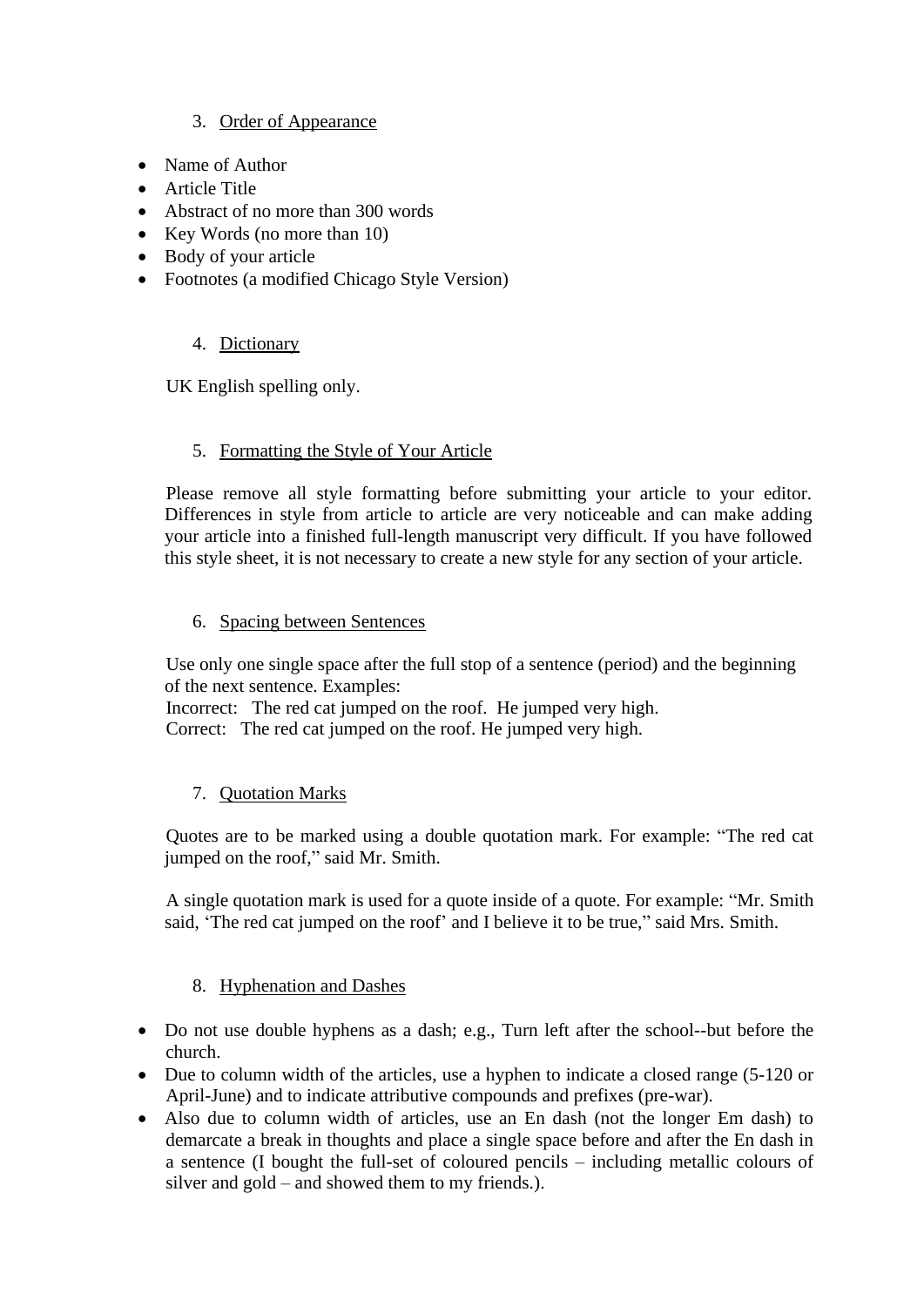# 3. Order of Appearance

- Name of Author
- Article Title
- Abstract of no more than 300 words
- Key Words (no more than 10)
- Body of your article
- Footnotes (a modified Chicago Style Version)

#### 4. Dictionary

UK English spelling only.

#### 5. Formatting the Style of Your Article

Please remove all style formatting before submitting your article to your editor. Differences in style from article to article are very noticeable and can make adding your article into a finished full-length manuscript very difficult. If you have followed this style sheet, it is not necessary to create a new style for any section of your article.

#### 6. Spacing between Sentences

Use only one single space after the full stop of a sentence (period) and the beginning of the next sentence. Examples:

Incorrect: The red cat jumped on the roof. He jumped very high. Correct: The red cat jumped on the roof. He jumped very high.

#### 7. Quotation Marks

Quotes are to be marked using a double quotation mark. For example: "The red cat jumped on the roof," said Mr. Smith.

A single quotation mark is used for a quote inside of a quote. For example: "Mr. Smith said, 'The red cat jumped on the roof' and I believe it to be true," said Mrs. Smith.

#### 8. Hyphenation and Dashes

- Do not use double hyphens as a dash; e.g., Turn left after the school--but before the church.
- Due to column width of the articles, use a hyphen to indicate a closed range (5-120 or April-June) and to indicate attributive compounds and prefixes (pre-war).
- Also due to column width of articles, use an En dash (not the longer Em dash) to demarcate a break in thoughts and place a single space before and after the En dash in a sentence (I bought the full-set of coloured pencils – including metallic colours of silver and gold – and showed them to my friends.).